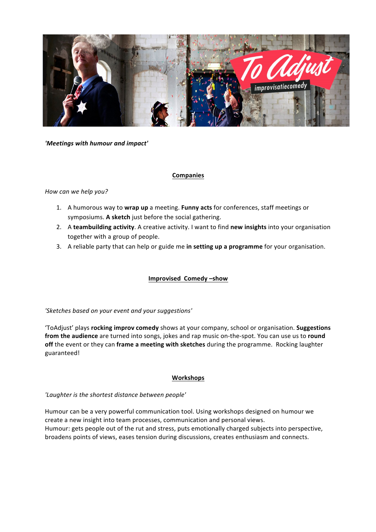

*'Meetings with humour and impact'*

# **Companies**

# *How can we help you?*

- 1. A humorous way to wrap up a meeting. Funny acts for conferences, staff meetings or symposiums. A sketch just before the social gathering.
- 2. A teambuilding activity. A creative activity. I want to find new insights into your organisation together with a group of people.
- 3. A reliable party that can help or guide me in setting up a programme for your organisation.

# **Improvised Comedy-show**

'Sketches based on your event and your suggestions'

'ToAdjust' plays **rocking improv comedy** shows at your company, school or organisation. **Suggestions** from the audience are turned into songs, jokes and rap music on-the-spot. You can use us to round off the event or they can frame a meeting with sketches during the programme. Rocking laughter guaranteed!

# **Workshops**

'Laughter is the shortest distance between people'

Humour can be a very powerful communication tool. Using workshops designed on humour we create a new insight into team processes, communication and personal views. Humour: gets people out of the rut and stress, puts emotionally charged subjects into perspective, broadens points of views, eases tension during discussions, creates enthusiasm and connects.